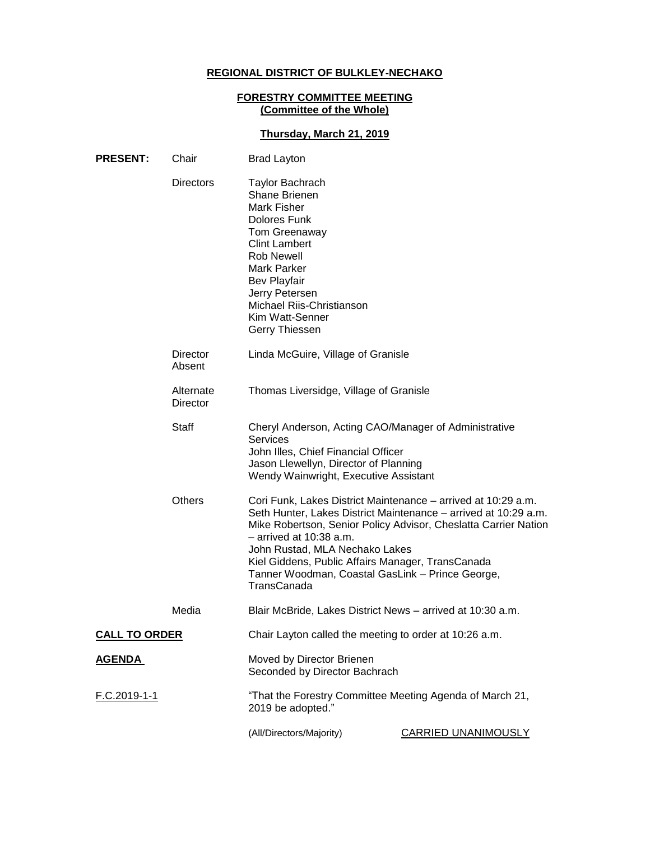# **REGIONAL DISTRICT OF BULKLEY-NECHAKO**

#### **FORESTRY COMMITTEE MEETING (Committee of the Whole)**

## **Thursday, March 21, 2019**

| <b>PRESENT:</b>      | Chair<br><b>Brad Layton</b> |                                                                                                                                                                                                                                                                |                                                                                                                                    |
|----------------------|-----------------------------|----------------------------------------------------------------------------------------------------------------------------------------------------------------------------------------------------------------------------------------------------------------|------------------------------------------------------------------------------------------------------------------------------------|
|                      | <b>Directors</b>            | <b>Taylor Bachrach</b><br>Shane Brienen<br>Mark Fisher<br>Dolores Funk<br>Tom Greenaway<br><b>Clint Lambert</b><br><b>Rob Newell</b><br>Mark Parker<br><b>Bev Playfair</b><br>Jerry Petersen<br>Michael Riis-Christianson<br>Kim Watt-Senner<br>Gerry Thiessen |                                                                                                                                    |
|                      | Director<br>Absent          | Linda McGuire, Village of Granisle                                                                                                                                                                                                                             |                                                                                                                                    |
|                      | Alternate<br>Director       | Thomas Liversidge, Village of Granisle                                                                                                                                                                                                                         |                                                                                                                                    |
|                      | <b>Staff</b>                | Cheryl Anderson, Acting CAO/Manager of Administrative<br><b>Services</b><br>John Illes, Chief Financial Officer<br>Jason Llewellyn, Director of Planning<br>Wendy Wainwright, Executive Assistant                                                              |                                                                                                                                    |
|                      | <b>Others</b>               | Cori Funk, Lakes District Maintenance – arrived at 10:29 a.m.<br>$-$ arrived at 10:38 a.m.<br>John Rustad, MLA Nechako Lakes<br>Kiel Giddens, Public Affairs Manager, TransCanada<br>Tanner Woodman, Coastal GasLink - Prince George,<br>TransCanada           | Seth Hunter, Lakes District Maintenance – arrived at 10:29 a.m.<br>Mike Robertson, Senior Policy Advisor, Cheslatta Carrier Nation |
|                      | Media                       | Blair McBride, Lakes District News - arrived at 10:30 a.m.                                                                                                                                                                                                     |                                                                                                                                    |
| <b>CALL TO ORDER</b> |                             | Chair Layton called the meeting to order at 10:26 a.m.                                                                                                                                                                                                         |                                                                                                                                    |
| <u>AGENDA</u>        |                             | Moved by Director Brienen<br>Seconded by Director Bachrach                                                                                                                                                                                                     |                                                                                                                                    |
| F.C.2019-1-1         |                             | "That the Forestry Committee Meeting Agenda of March 21,<br>2019 be adopted."                                                                                                                                                                                  |                                                                                                                                    |
|                      |                             | (All/Directors/Majority)                                                                                                                                                                                                                                       | <b>CARRIED UNANIMOUSLY</b>                                                                                                         |